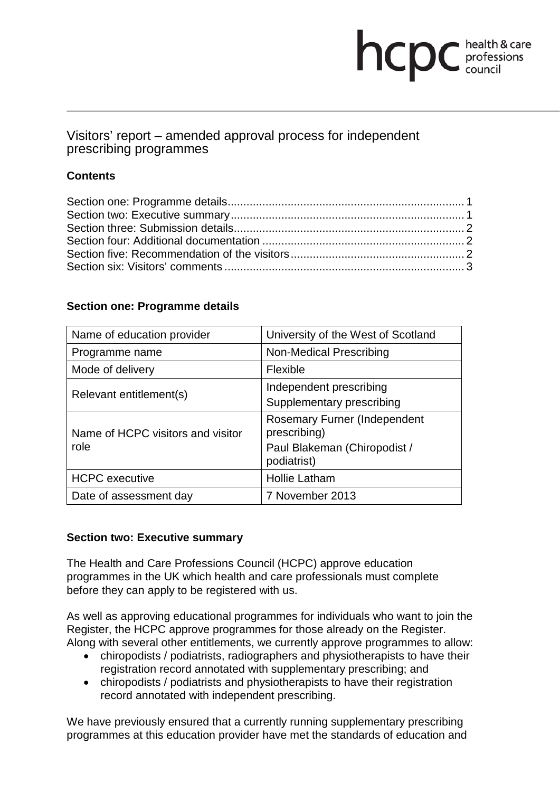# **health & care**

## Visitors' report – amended approval process for independent prescribing programmes

### **Contents**

### **Section one: Programme details**

| Name of education provider                | University of the West of Scotland                                                                 |
|-------------------------------------------|----------------------------------------------------------------------------------------------------|
| Programme name                            | Non-Medical Prescribing                                                                            |
| Mode of delivery                          | Flexible                                                                                           |
| Relevant entitlement(s)                   | Independent prescribing<br>Supplementary prescribing                                               |
| Name of HCPC visitors and visitor<br>role | <b>Rosemary Furner (Independent</b><br>prescribing)<br>Paul Blakeman (Chiropodist /<br>podiatrist) |
| <b>HCPC</b> executive                     | <b>Hollie Latham</b>                                                                               |
| Date of assessment day                    | 7 November 2013                                                                                    |

### **Section two: Executive summary**

The Health and Care Professions Council (HCPC) approve education programmes in the UK which health and care professionals must complete before they can apply to be registered with us.

As well as approving educational programmes for individuals who want to join the Register, the HCPC approve programmes for those already on the Register. Along with several other entitlements, we currently approve programmes to allow:

- chiropodists / podiatrists, radiographers and physiotherapists to have their registration record annotated with supplementary prescribing; and
- chiropodists / podiatrists and physiotherapists to have their registration record annotated with independent prescribing.

We have previously ensured that a currently running supplementary prescribing programmes at this education provider have met the standards of education and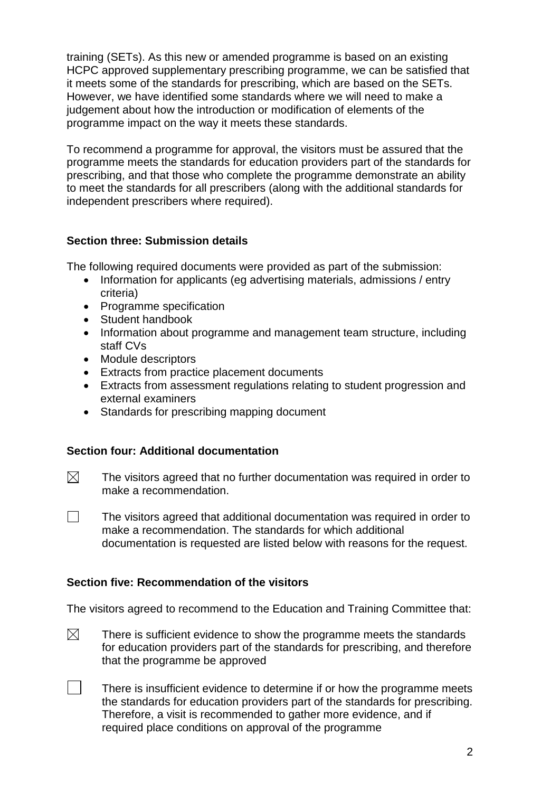training (SETs). As this new or amended programme is based on an existing HCPC approved supplementary prescribing programme, we can be satisfied that it meets some of the standards for prescribing, which are based on the SETs. However, we have identified some standards where we will need to make a judgement about how the introduction or modification of elements of the programme impact on the way it meets these standards.

To recommend a programme for approval, the visitors must be assured that the programme meets the standards for education providers part of the standards for prescribing, and that those who complete the programme demonstrate an ability to meet the standards for all prescribers (along with the additional standards for independent prescribers where required).

### **Section three: Submission details**

The following required documents were provided as part of the submission:

- Information for applicants (eg advertising materials, admissions / entry criteria)
- Programme specification
- Student handbook
- Information about programme and management team structure, including staff CVs
- Module descriptors
- Extracts from practice placement documents
- Extracts from assessment regulations relating to student progression and external examiners
- Standards for prescribing mapping document

### **Section four: Additional documentation**

- $\boxtimes$ The visitors agreed that no further documentation was required in order to make a recommendation.
- $\Box$ The visitors agreed that additional documentation was required in order to make a recommendation. The standards for which additional documentation is requested are listed below with reasons for the request.

### **Section five: Recommendation of the visitors**

The visitors agreed to recommend to the Education and Training Committee that:

- $\boxtimes$ There is sufficient evidence to show the programme meets the standards for education providers part of the standards for prescribing, and therefore that the programme be approved
	- There is insufficient evidence to determine if or how the programme meets the standards for education providers part of the standards for prescribing. Therefore, a visit is recommended to gather more evidence, and if required place conditions on approval of the programme